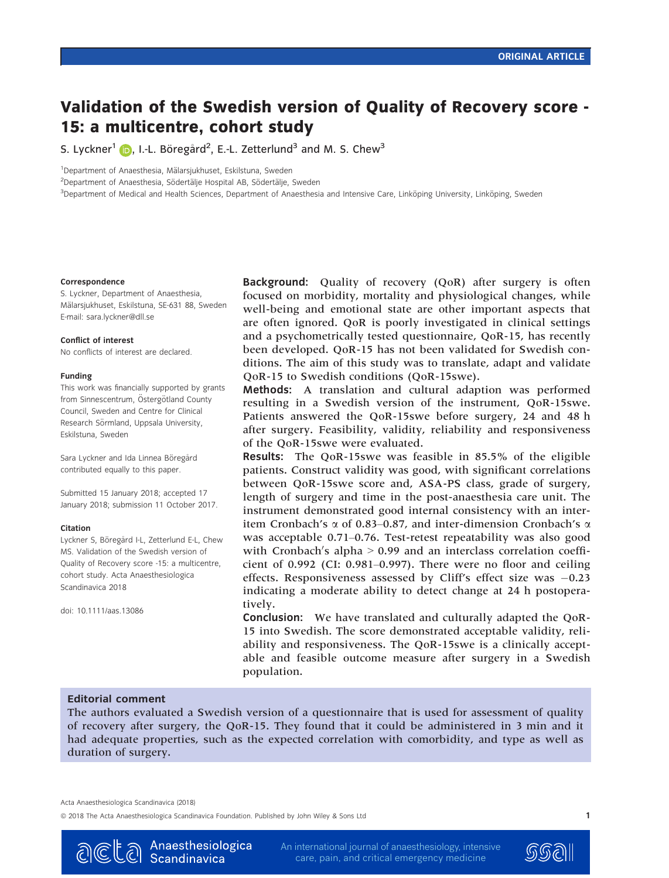# Validation of the Swedish version of Quality of Recovery score - 15: a multicentre, cohort study

S. Lyckner $^1$  ( ), I.-L. Böregård $^2$ , E.-L. Zetterlund $^3$  and M. S. Chew $^3$ 

<sup>1</sup>Department of Anaesthesia, Mälarsjukhuset, Eskilstuna, Sweden

<sup>2</sup>Department of Anaesthesia, Södertälje Hospital AB, Södertälje, Sweden

<sup>3</sup>Department of Medical and Health Sciences, Department of Anaesthesia and Intensive Care, Linköping University, Linköping, Sweden

#### Correspondence

S. Lyckner, Department of Anaesthesia, Mälarsjukhuset, Eskilstuna, SE-631 88, Sweden E-mail: sara.lyckner@dll.se

#### Conflict of interest

No conflicts of interest are declared.

#### Funding

This work was financially supported by grants from Sinnescentrum, Östergötland County Council, Sweden and Centre for Clinical Research Sörmland, Uppsala University, Eskilstuna, Sweden

Sara Lyckner and Ida Linnea Böregård contributed equally to this paper.

Submitted 15 January 2018; accepted 17 January 2018; submission 11 October 2017.

#### Citation

Lyckner S, Böregård I-L, Zetterlund E-L, Chew MS. Validation of the Swedish version of Quality of Recovery score -15: a multicentre, cohort study. Acta Anaesthesiologica Scandinavica 2018

doi: 10.1111/aas.13086

Background: Quality of recovery (QoR) after surgery is often focused on morbidity, mortality and physiological changes, while well-being and emotional state are other important aspects that are often ignored. QoR is poorly investigated in clinical settings and a psychometrically tested questionnaire, QoR-15, has recently been developed. QoR-15 has not been validated for Swedish conditions. The aim of this study was to translate, adapt and validate QoR-15 to Swedish conditions (QoR-15swe).

Methods: A translation and cultural adaption was performed resulting in a Swedish version of the instrument, QoR-15swe. Patients answered the QoR-15swe before surgery, 24 and 48 h after surgery. Feasibility, validity, reliability and responsiveness of the QoR-15swe were evaluated.

Results: The QoR-15swe was feasible in 85.5% of the eligible patients. Construct validity was good, with significant correlations between QoR-15swe score and, ASA-PS class, grade of surgery, length of surgery and time in the post-anaesthesia care unit. The instrument demonstrated good internal consistency with an interitem Cronbach's  $\alpha$  of 0.83–0.87, and inter-dimension Cronbach's  $\alpha$ was acceptable 0.71–0.76. Test-retest repeatability was also good with Cronbach's alpha  $> 0.99$  and an interclass correlation coefficient of 0.992 (CI: 0.981–0.997). There were no floor and ceiling effects. Responsiveness assessed by Cliff's effect size was -0.23 indicating a moderate ability to detect change at 24 h postoperatively.

Conclusion: We have translated and culturally adapted the QoR-15 into Swedish. The score demonstrated acceptable validity, reliability and responsiveness. The QoR-15swe is a clinically acceptable and feasible outcome measure after surgery in a Swedish population.

## Editorial comment

The authors evaluated a Swedish version of a questionnaire that is used for assessment of quality of recovery after surgery, the QoR-15. They found that it could be administered in 3 min and it had adequate properties, such as the expected correlation with comorbidity, and type as well as duration of surgery.

Acta Anaesthesiologica Scandinavica (2018)

© 2018 The Acta Anaesthesiologica Scandinavica Foundation. Published by John Wiley & Sons Ltd 1



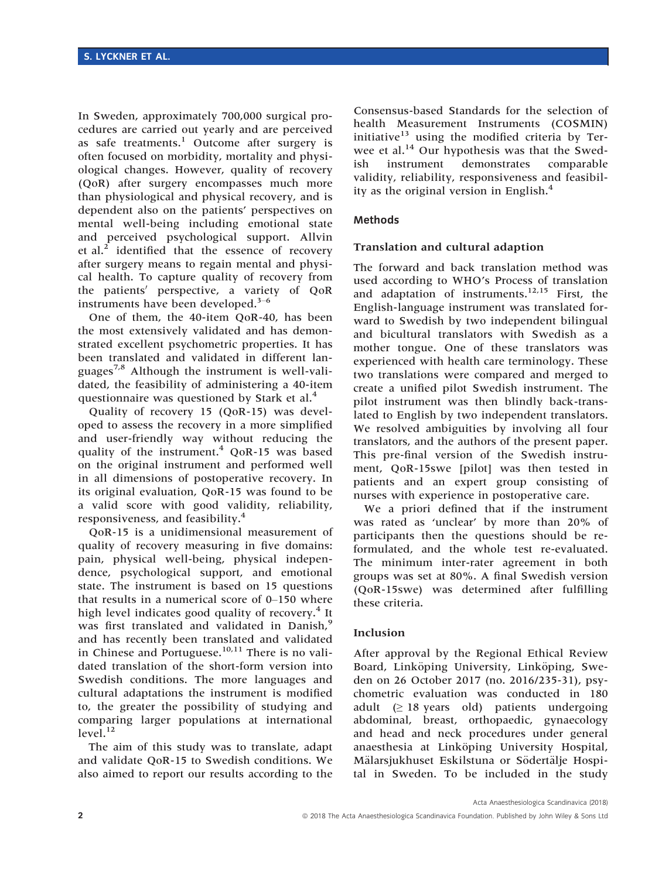In Sweden, approximately 700,000 surgical procedures are carried out yearly and are perceived as safe treatments.<sup>1</sup> Outcome after surgery is often focused on morbidity, mortality and physiological changes. However, quality of recovery (QoR) after surgery encompasses much more than physiological and physical recovery, and is dependent also on the patients' perspectives on mental well-being including emotional state and perceived psychological support. Allvin et al.<sup>2</sup> identified that the essence of recovery after surgery means to regain mental and physical health. To capture quality of recovery from the patients' perspective, a variety of QoR instruments have been developed. $3-6$ 

One of them, the 40-item QoR-40, has been the most extensively validated and has demonstrated excellent psychometric properties. It has been translated and validated in different languages<sup>7,8</sup> Although the instrument is well-validated, the feasibility of administering a 40-item questionnaire was questioned by Stark et al.<sup>4</sup>

Quality of recovery 15 (QoR-15) was developed to assess the recovery in a more simplified and user-friendly way without reducing the quality of the instrument.<sup>4</sup> QoR-15 was based on the original instrument and performed well in all dimensions of postoperative recovery. In its original evaluation, QoR-15 was found to be a valid score with good validity, reliability, responsiveness, and feasibility.<sup>4</sup>

QoR-15 is a unidimensional measurement of quality of recovery measuring in five domains: pain, physical well-being, physical independence, psychological support, and emotional state. The instrument is based on 15 questions that results in a numerical score of 0–150 where high level indicates good quality of recovery.<sup>4</sup> It was first translated and validated in Danish,<sup>9</sup> and has recently been translated and validated in Chinese and Portuguese. $10,11$  There is no validated translation of the short-form version into Swedish conditions. The more languages and cultural adaptations the instrument is modified to, the greater the possibility of studying and comparing larger populations at international level.<sup>12</sup>

The aim of this study was to translate, adapt and validate QoR-15 to Swedish conditions. We also aimed to report our results according to the

Consensus-based Standards for the selection of health Measurement Instruments (COSMIN) initiative $13$  using the modified criteria by Terwee et al.<sup>14</sup> Our hypothesis was that the Swedish instrument demonstrates comparable validity, reliability, responsiveness and feasibility as the original version in English.<sup>4</sup>

## Methods

## Translation and cultural adaption

The forward and back translation method was used according to WHO's Process of translation and adaptation of instruments.<sup>12,15</sup> First, the English-language instrument was translated forward to Swedish by two independent bilingual and bicultural translators with Swedish as a mother tongue. One of these translators was experienced with health care terminology. These two translations were compared and merged to create a unified pilot Swedish instrument. The pilot instrument was then blindly back-translated to English by two independent translators. We resolved ambiguities by involving all four translators, and the authors of the present paper. This pre-final version of the Swedish instrument, QoR-15swe [pilot] was then tested in patients and an expert group consisting of nurses with experience in postoperative care.

We a priori defined that if the instrument was rated as 'unclear' by more than 20% of participants then the questions should be reformulated, and the whole test re-evaluated. The minimum inter-rater agreement in both groups was set at 80%. A final Swedish version (QoR-15swe) was determined after fulfilling these criteria.

## Inclusion

After approval by the Regional Ethical Review Board, Linköping University, Linköping, Sweden on 26 October 2017 (no. 2016/235-31), psychometric evaluation was conducted in 180 adult  $(\geq 18 \text{ years} \text{ old})$  patients undergoing abdominal, breast, orthopaedic, gynaecology and head and neck procedures under general anaesthesia at Linköping University Hospital, Mälarsjukhuset Eskilstuna or Södertälje Hospital in Sweden. To be included in the study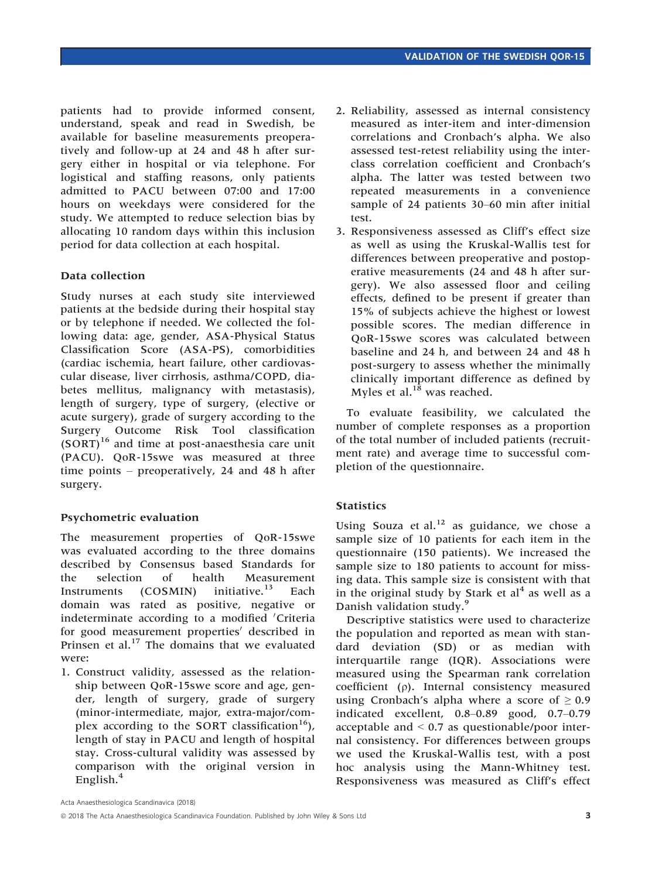patients had to provide informed consent, understand, speak and read in Swedish, be available for baseline measurements preoperatively and follow-up at 24 and 48 h after surgery either in hospital or via telephone. For logistical and staffing reasons, only patients admitted to PACU between 07:00 and 17:00 hours on weekdays were considered for the study. We attempted to reduce selection bias by allocating 10 random days within this inclusion period for data collection at each hospital.

## Data collection

Study nurses at each study site interviewed patients at the bedside during their hospital stay or by telephone if needed. We collected the following data: age, gender, ASA-Physical Status Classification Score (ASA-PS), comorbidities (cardiac ischemia, heart failure, other cardiovascular disease, liver cirrhosis, asthma/COPD, diabetes mellitus, malignancy with metastasis), length of surgery, type of surgery, (elective or acute surgery), grade of surgery according to the Surgery Outcome Risk Tool classification  $(SORT)^{16}$  and time at post-anaesthesia care unit (PACU). QoR-15swe was measured at three time points – preoperatively, 24 and 48 h after surgery.

# Psychometric evaluation

The measurement properties of QoR-15swe was evaluated according to the three domains described by Consensus based Standards for the selection of health Measurement Instruments (COSMIN) initiative.<sup>13</sup> Each domain was rated as positive, negative or indeterminate according to a modified 'Criteria for good measurement properties' described in Prinsen et al.<sup>17</sup> The domains that we evaluated were:

1. Construct validity, assessed as the relationship between QoR-15swe score and age, gender, length of surgery, grade of surgery (minor-intermediate, major, extra-major/complex according to the SORT classification<sup>16</sup>), length of stay in PACU and length of hospital stay. Cross-cultural validity was assessed by comparison with the original version in English.<sup>4</sup>

- 2. Reliability, assessed as internal consistency measured as inter-item and inter-dimension correlations and Cronbach's alpha. We also assessed test-retest reliability using the interclass correlation coefficient and Cronbach's alpha. The latter was tested between two repeated measurements in a convenience sample of 24 patients 30–60 min after initial test.
- 3. Responsiveness assessed as Cliff's effect size as well as using the Kruskal-Wallis test for differences between preoperative and postoperative measurements (24 and 48 h after surgery). We also assessed floor and ceiling effects, defined to be present if greater than 15% of subjects achieve the highest or lowest possible scores. The median difference in QoR-15swe scores was calculated between baseline and 24 h, and between 24 and 48 h post-surgery to assess whether the minimally clinically important difference as defined by Myles et al.<sup>18</sup> was reached.

To evaluate feasibility, we calculated the number of complete responses as a proportion of the total number of included patients (recruitment rate) and average time to successful completion of the questionnaire.

# **Statistics**

Using Souza et al. $^{12}$  as guidance, we chose a sample size of 10 patients for each item in the questionnaire (150 patients). We increased the sample size to 180 patients to account for missing data. This sample size is consistent with that in the original study by Stark et  $al<sup>4</sup>$  as well as a Danish validation study.<sup>9</sup>

Descriptive statistics were used to characterize the population and reported as mean with standard deviation (SD) or as median with interquartile range (IQR). Associations were measured using the Spearman rank correlation coefficient (q). Internal consistency measured using Cronbach's alpha where a score of  $\geq 0.9$ indicated excellent, 0.8–0.89 good, 0.7–0.79 acceptable and  $\leq 0.7$  as questionable/poor internal consistency. For differences between groups we used the Kruskal-Wallis test, with a post hoc analysis using the Mann-Whitney test. Responsiveness was measured as Cliff's effect

<sup>©</sup> 2018 The Acta Anaesthesiologica Scandinavica Foundation. Published by John Wiley & Sons Ltd 3 3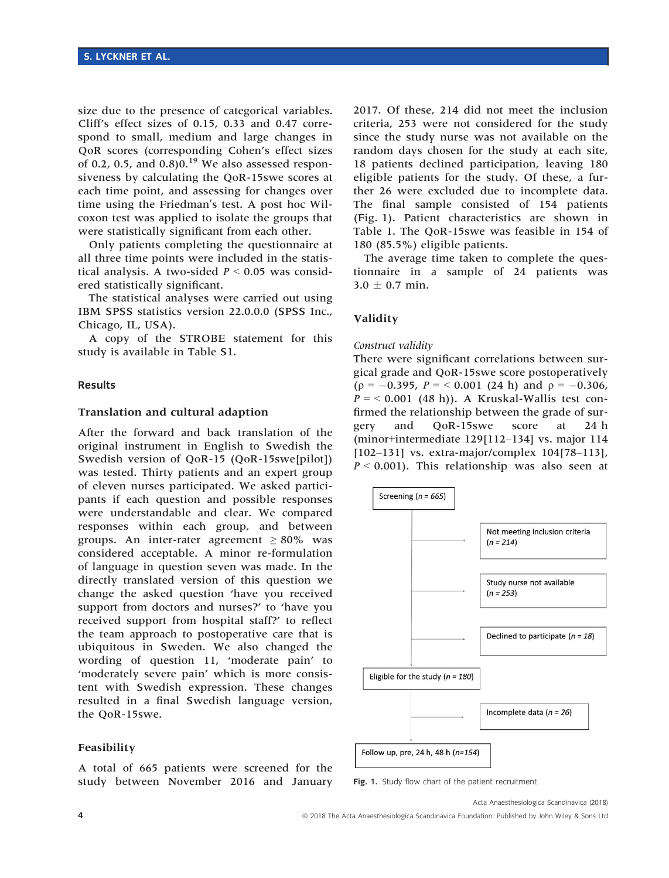size due to the presence of categorical variables. Cliff's effect sizes of 0.15, 0.33 and 0.47 correspond to small, medium and large changes in QoR scores (corresponding Cohen's effect sizes of 0.2, 0.5, and  $0.8$ ) $0.^{19}$  We also assessed responsiveness by calculating the QoR-15swe scores at each time point, and assessing for changes over time using the Friedman's test. A post hoc Wilcoxon test was applied to isolate the groups that were statistically significant from each other.

Only patients completing the questionnaire at all three time points were included in the statistical analysis. A two-sided  $P \le 0.05$  was considered statistically significant.

The statistical analyses were carried out using IBM SPSS statistics version 22.0.0.0 (SPSS Inc., Chicago, IL, USA).

A copy of the STROBE statement for this study is available in Table S1.

#### Results

#### Translation and cultural adaption

After the forward and back translation of the original instrument in English to Swedish the Swedish version of QoR-15 (QoR-15swe[pilot]) was tested. Thirty patients and an expert group of eleven nurses participated. We asked participants if each question and possible responses were understandable and clear. We compared responses within each group, and between groups. An inter-rater agreement  $\geq 80\%$  was considered acceptable. A minor re-formulation of language in question seven was made. In the directly translated version of this question we change the asked question 'have you received support from doctors and nurses?' to 'have you received support from hospital staff?' to reflect the team approach to postoperative care that is ubiquitous in Sweden. We also changed the wording of question 11, 'moderate pain' to 'moderately severe pain' which is more consistent with Swedish expression. These changes resulted in a final Swedish language version, the QoR-15swe.

## Feasibility

A total of 665 patients were screened for the study between November 2016 and January

2017. Of these, 214 did not meet the inclusion criteria, 253 were not considered for the study since the study nurse was not available on the random days chosen for the study at each site, 18 patients declined participation, leaving 180 eligible patients for the study. Of these, a further 26 were excluded due to incomplete data. The final sample consisted of 154 patients (Fig. 1). Patient characteristics are shown in Table 1. The QoR-15swe was feasible in 154 of 180 (85.5%) eligible patients.

The average time taken to complete the questionnaire in a sample of 24 patients was  $3.0 + 0.7$  min.

#### Validity

#### Construct validity

There were significant correlations between surgical grade and QoR-15swe score postoperatively ( $p = -0.395$ ,  $P = < 0.001$  (24 h) and  $p = -0.306$ ,  $P = < 0.001$  (48 h)). A Kruskal-Wallis test confirmed the relationship between the grade of surgery and QoR-15swe score at 24 h (minor+intermediate 129[112–134] vs. major 114 [102–131] vs. extra-major/complex 104[78–113],  $P < 0.001$ ). This relationship was also seen at



Fig. 1. Study flow chart of the patient recruitment.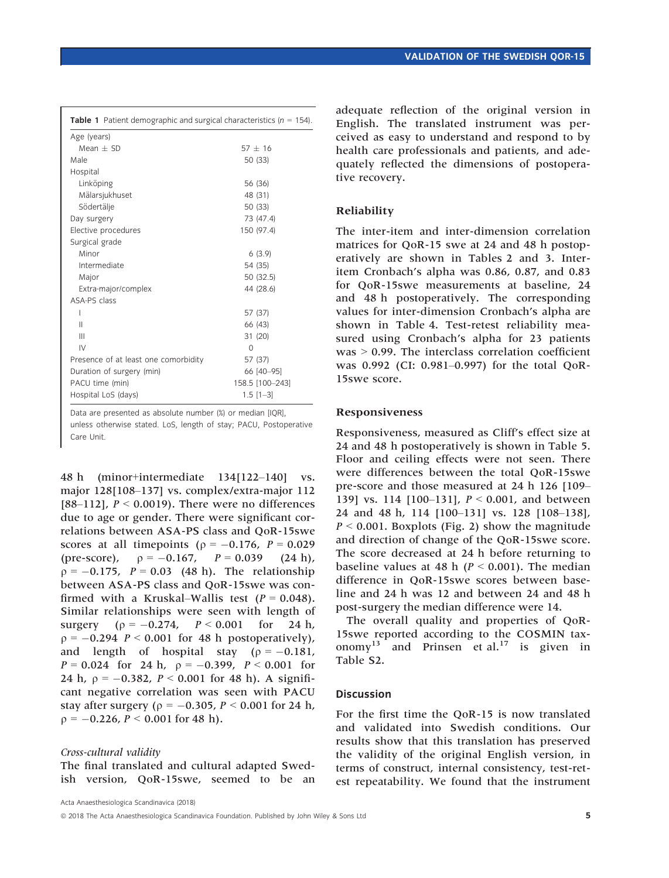| Table 1 Patient demographic and surgical characteristics ( $n = 154$ ). |                 |
|-------------------------------------------------------------------------|-----------------|
| Age (years)                                                             |                 |
| $Mean + SD$                                                             | $57 + 16$       |
| Male                                                                    | 50 (33)         |
| Hospital                                                                |                 |
| Linköping                                                               | 56 (36)         |
| Mälarsjukhuset                                                          | 48 (31)         |
| Södertälje                                                              | 50 (33)         |
| Day surgery                                                             | 73 (47.4)       |
| Elective procedures                                                     | 150 (97.4)      |
| Surgical grade                                                          |                 |
| Minor                                                                   | 6(3.9)          |
| Intermediate                                                            | 54 (35)         |
| Major                                                                   | 50 (32.5)       |
| Extra-major/complex                                                     | 44 (28.6)       |
| ASA-PS class                                                            |                 |
| I                                                                       | 57 (37)         |
| Ш                                                                       | 66 (43)         |
| $\mathbf{III}$                                                          | 31 (20)         |
| IV                                                                      | $\Omega$        |
| Presence of at least one comorbidity                                    | 57 (37)         |
| Duration of surgery (min)                                               | 66 [40-95]      |
| PACU time (min)                                                         | 158.5 [100-243] |
| Hospital LoS (days)                                                     | $1.5$ $[1-3]$   |

Data are presented as absolute number (%) or median [IQR], unless otherwise stated. LoS, length of stay; PACU, Postoperative Care Unit.

48 h (minor+intermediate 134[122–140] vs. major 128[108–137] vs. complex/extra-major 112 [88–112],  $P < 0.0019$ ). There were no differences due to age or gender. There were significant correlations between ASA-PS class and QoR-15swe scores at all timepoints ( $p = -0.176$ ,  $P = 0.029$ (pre-score),  $\rho = -0.167$ ,  $P = 0.039$  (24 h),  $\rho = -0.175$ ,  $P = 0.03$  (48 h). The relationship between ASA-PS class and QoR-15swe was confirmed with a Kruskal–Wallis test  $(P = 0.048)$ . Similar relationships were seen with length of surgery  $(p = -0.274, P < 0.001$  for 24 h,  $p = -0.294$   $P < 0.001$  for 48 h postoperatively), and length of hospital stay  $(p = -0.181,$  $P = 0.024$  for 24 h,  $\rho = -0.399$ ,  $P < 0.001$  for 24 h,  $p = -0.382$ ,  $P < 0.001$  for 48 h). A significant negative correlation was seen with PACU stay after surgery ( $p = -0.305$ ,  $P < 0.001$  for 24 h,  $p = -0.226$ ,  $P < 0.001$  for 48 h).

Cross-cultural validity The final translated and cultural adapted Swedish version, QoR-15swe, seemed to be an

adequate reflection of the original version in English. The translated instrument was perceived as easy to understand and respond to by health care professionals and patients, and adequately reflected the dimensions of postoperative recovery.

## Reliability

The inter-item and inter-dimension correlation matrices for QoR-15 swe at 24 and 48 h postoperatively are shown in Tables 2 and 3. Interitem Cronbach's alpha was 0.86, 0.87, and 0.83 for QoR-15swe measurements at baseline, 24 and 48 h postoperatively. The corresponding values for inter-dimension Cronbach's alpha are shown in Table 4. Test-retest reliability measured using Cronbach's alpha for 23 patients was > 0.99. The interclass correlation coefficient was 0.992 (CI: 0.981–0.997) for the total QoR-15swe score.

## Responsiveness

Responsiveness, measured as Cliff's effect size at 24 and 48 h postoperatively is shown in Table 5. Floor and ceiling effects were not seen. There were differences between the total QoR-15swe pre-score and those measured at 24 h 126 [109– 139] vs. 114 [100–131],  $P < 0.001$ , and between 24 and 48 h, 114 [100–131] vs. 128 [108–138],  $P \le 0.001$ . Boxplots (Fig. 2) show the magnitude and direction of change of the QoR-15swe score. The score decreased at 24 h before returning to baseline values at 48 h ( $P < 0.001$ ). The median difference in QoR-15swe scores between baseline and 24 h was 12 and between 24 and 48 h post-surgery the median difference were 14.

The overall quality and properties of QoR-15swe reported according to the COSMIN taxonomy<sup>13</sup> and Prinsen et al.<sup>17</sup> is given in Table S2.

## **Discussion**

For the first time the QoR-15 is now translated and validated into Swedish conditions. Our results show that this translation has preserved the validity of the original English version, in terms of construct, internal consistency, test-retest repeatability. We found that the instrument

Acta Anaesthesiologica Scandinavica (2018)

© 2018 The Acta Anaesthesiologica Scandinavica Foundation. Published by John Wiley & Sons Ltd 5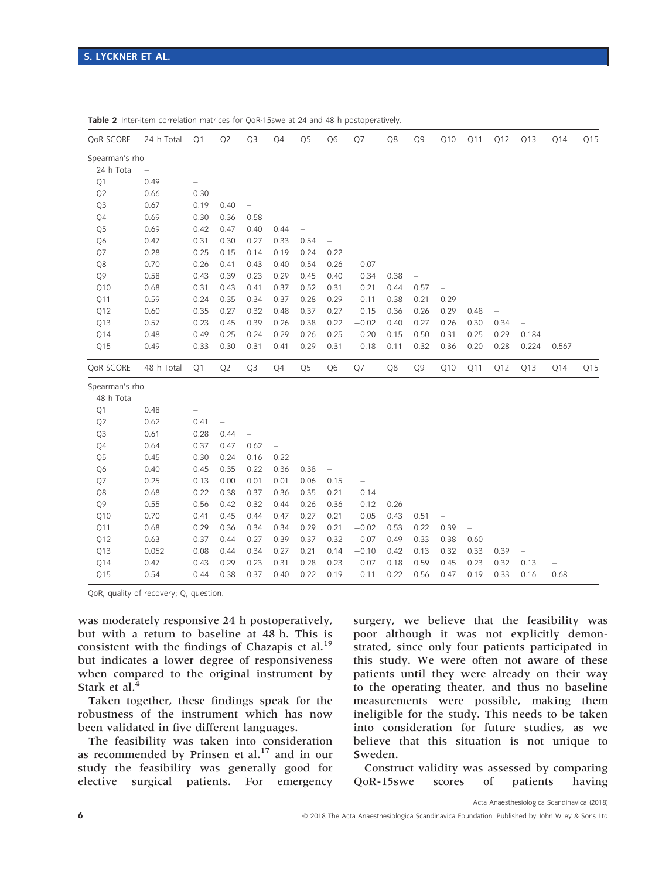| <b>QoR SCORE</b> | 24 h Total               | Q <sub>1</sub>           | Q <sub>2</sub>           | Q <sub>3</sub>           | Q4                       | Q <sub>5</sub> | Q <sub>6</sub>           | Q7                       | Q8                       | Q <sub>9</sub>           | Q10                      | Q11                      | Q12                      | Q13               | Q14                      | Q15                      |
|------------------|--------------------------|--------------------------|--------------------------|--------------------------|--------------------------|----------------|--------------------------|--------------------------|--------------------------|--------------------------|--------------------------|--------------------------|--------------------------|-------------------|--------------------------|--------------------------|
| Spearman's rho   |                          |                          |                          |                          |                          |                |                          |                          |                          |                          |                          |                          |                          |                   |                          |                          |
| 24 h Total       | $\overline{\phantom{0}}$ |                          |                          |                          |                          |                |                          |                          |                          |                          |                          |                          |                          |                   |                          |                          |
| O <sub>1</sub>   | 0.49                     | $\overline{\phantom{0}}$ |                          |                          |                          |                |                          |                          |                          |                          |                          |                          |                          |                   |                          |                          |
| Q <sub>2</sub>   | 0.66                     | 0.30                     | $\overline{\phantom{0}}$ |                          |                          |                |                          |                          |                          |                          |                          |                          |                          |                   |                          |                          |
| Q3               | 0.67                     | 0.19                     | 0.40                     | $\overline{\phantom{0}}$ |                          |                |                          |                          |                          |                          |                          |                          |                          |                   |                          |                          |
| Q4               | 0.69                     | 0.30                     | 0.36                     | 0.58                     | $\overline{\phantom{0}}$ |                |                          |                          |                          |                          |                          |                          |                          |                   |                          |                          |
| Q <sub>5</sub>   | 0.69                     | 0.42                     | 0.47                     | 0.40                     | 0.44                     |                |                          |                          |                          |                          |                          |                          |                          |                   |                          |                          |
| Q6               | 0.47                     | 0.31                     | 0.30                     | 0.27                     | 0.33                     | 0.54           | $\overline{\phantom{0}}$ |                          |                          |                          |                          |                          |                          |                   |                          |                          |
| Q7               | 0.28                     | 0.25                     | 0.15                     | 0.14                     | 0.19                     | 0.24           | 0.22                     | $\overline{\phantom{0}}$ |                          |                          |                          |                          |                          |                   |                          |                          |
| Q8               | 0.70                     | 0.26                     | 0.41                     | 0.43                     | 0.40                     | 0.54           | 0.26                     | 0.07                     | $\overline{\phantom{0}}$ |                          |                          |                          |                          |                   |                          |                          |
| O <sub>9</sub>   | 0.58                     | 0.43                     | 0.39                     | 0.23                     | 0.29                     | 0.45           | 0.40                     | 0.34                     | 0.38                     | $\overline{\phantom{0}}$ |                          |                          |                          |                   |                          |                          |
| Q10              | 0.68                     | 0.31                     | 0.43                     | 0.41                     | 0.37                     | 0.52           | 0.31                     | 0.21                     | 0.44                     | 0.57                     | $\overline{\phantom{0}}$ |                          |                          |                   |                          |                          |
| Q11              | 0.59                     | 0.24                     | 0.35                     | 0.34                     | 0.37                     | 0.28           | 0.29                     | 0.11                     | 0.38                     | 0.21                     | 0.29                     |                          |                          |                   |                          |                          |
| Q12              | 0.60                     | 0.35                     | 0.27                     | 0.32                     | 0.48                     | 0.37           | 0.27                     | 0.15                     | 0.36                     | 0.26                     | 0.29                     | 0.48                     |                          |                   |                          |                          |
| Q13              | 0.57                     | 0.23                     | 0.45                     | 0.39                     | 0.26                     | 0.38           | 0.22                     | $-0.02$                  | 0.40                     | 0.27                     | 0.26                     | 0.30                     | 0.34                     |                   |                          |                          |
| 014              | 0.48                     | 0.49                     | 0.25                     | 0.24                     | 0.29                     | 0.26           | 0.25                     | 0.20                     | 0.15                     | 0.50                     | 0.31                     | 0.25                     | 0.29                     | 0.184             | $\overline{\phantom{0}}$ |                          |
| 015              | 0.49                     | 0.33                     | 0.30                     | 0.31                     | 0.41                     | 0.29           | 0.31                     | 0.18                     | 0.11                     | 0.32                     | 0.36                     | 0.20                     | 0.28                     | 0.224             | 0.567                    | $\overline{\phantom{0}}$ |
| QoR SCORE        | 48 h Total               | Q1                       | Q <sub>2</sub>           | Q <sub>3</sub>           | Q4                       | Q <sub>5</sub> | Q <sub>6</sub>           | Q7                       | Q8                       | Q <sub>9</sub>           | Q10                      | Q11                      | Q12                      | Q13               | Q14                      | Q15                      |
| Spearman's rho   |                          |                          |                          |                          |                          |                |                          |                          |                          |                          |                          |                          |                          |                   |                          |                          |
| 48 h Total       | $\overline{\phantom{0}}$ |                          |                          |                          |                          |                |                          |                          |                          |                          |                          |                          |                          |                   |                          |                          |
| Q1               | 0.48                     |                          |                          |                          |                          |                |                          |                          |                          |                          |                          |                          |                          |                   |                          |                          |
| Q <sub>2</sub>   | 0.62                     | 0.41                     | $\overline{\phantom{0}}$ |                          |                          |                |                          |                          |                          |                          |                          |                          |                          |                   |                          |                          |
| Q3               | 0.61                     | 0.28                     | 0.44                     | $\overline{\phantom{0}}$ |                          |                |                          |                          |                          |                          |                          |                          |                          |                   |                          |                          |
| Q4               | 0.64                     | 0.37                     | 0.47                     | 0.62                     | $\overline{\phantom{0}}$ |                |                          |                          |                          |                          |                          |                          |                          |                   |                          |                          |
| Q5               | 0.45                     | 0.30                     | 0.24                     | 0.16                     | 0.22                     |                |                          |                          |                          |                          |                          |                          |                          |                   |                          |                          |
| Q6               | 0.40                     | 0.45                     | 0.35                     | 0.22                     | 0.36                     | 0.38           | $\overline{\phantom{0}}$ |                          |                          |                          |                          |                          |                          |                   |                          |                          |
| Q7               | 0.25                     | 0.13                     | 0.00                     | 0.01                     | 0.01                     | 0.06           | 0.15                     | $\overline{\phantom{0}}$ |                          |                          |                          |                          |                          |                   |                          |                          |
| Q8               | 0.68                     | 0.22                     | 0.38                     | 0.37                     | 0.36                     | 0.35           | 0.21                     | $-0.14$                  | $\overline{a}$           |                          |                          |                          |                          |                   |                          |                          |
| O <sub>9</sub>   | 0.55                     | 0.56                     | 0.42                     | 0.32                     | 0.44                     | 0.26           | 0.36                     | 0.12                     | 0.26                     | $\overline{\phantom{0}}$ |                          |                          |                          |                   |                          |                          |
| Q10              | 0.70                     | 0.41                     | 0.45                     | 0.44                     | 0.47                     | 0.27           | 0.21                     | 0.05                     | 0.43                     | 0.51                     | $\overline{\phantom{0}}$ |                          |                          |                   |                          |                          |
|                  |                          | 0.29                     | 0.36                     | 0.34                     | 0.34                     | 0.29           | 0.21                     | $-0.02$                  | 0.53                     | 0.22                     | 0.39                     | $\overline{\phantom{0}}$ |                          |                   |                          |                          |
| Q11              | 0.68                     |                          |                          |                          |                          |                |                          |                          |                          |                          |                          |                          |                          |                   |                          |                          |
| Q12              | 0.63                     | 0.37                     | 0.44                     | 0.27                     | 0.39                     | 0.37           | 0.32                     | $-0.07$                  | 0.49                     | 0.33                     | 0.38                     | 0.60                     | $\overline{\phantom{0}}$ |                   |                          |                          |
| Q13              | 0.052                    | 0.08                     | 0.44                     | 0.34                     | 0.27                     | 0.21           | 0.14                     | $-0.10$                  | 0.42                     | 0.13                     | 0.32                     | 0.33                     | 0.39                     | $\qquad \qquad -$ |                          |                          |
| Q14              | 0.47                     | 0.43                     | 0.29                     | 0.23                     | 0.31                     | 0.28           | 0.23                     | 0.07                     | 0.18                     | 0.59                     | 0.45                     | 0.23                     | 0.32                     | 0.13              |                          |                          |

QoR, quality of recovery; Q, question.

was moderately responsive 24 h postoperatively, but with a return to baseline at 48 h. This is consistent with the findings of Chazapis et al.<sup>19</sup> but indicates a lower degree of responsiveness when compared to the original instrument by Stark et al.<sup>4</sup>

Taken together, these findings speak for the robustness of the instrument which has now been validated in five different languages.

The feasibility was taken into consideration as recommended by Prinsen et al.<sup>17</sup> and in our study the feasibility was generally good for elective surgical patients. For emergency surgery, we believe that the feasibility was poor although it was not explicitly demonstrated, since only four patients participated in this study. We were often not aware of these patients until they were already on their way to the operating theater, and thus no baseline measurements were possible, making them ineligible for the study. This needs to be taken into consideration for future studies, as we believe that this situation is not unique to Sweden.

Construct validity was assessed by comparing QoR-15swe scores of patients having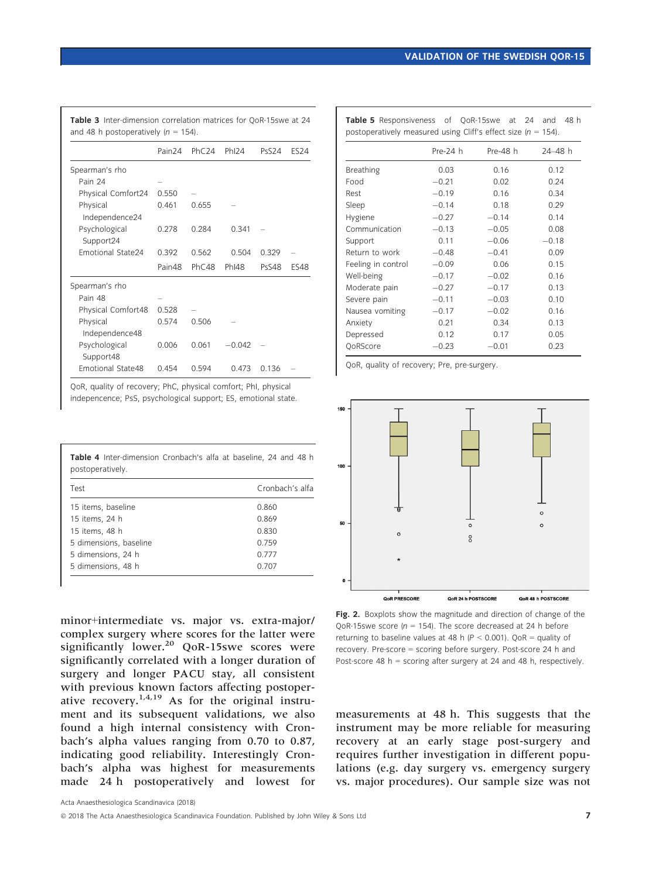Pre-24 h Pre-48 h 24-48 h

| and 48 h postoperatively ( $n = 154$ ). |                    |       |                   |              |             |  |  |
|-----------------------------------------|--------------------|-------|-------------------|--------------|-------------|--|--|
|                                         | Pain <sub>24</sub> | PhC24 | Ph <sub>124</sub> | <b>PsS24</b> | <b>ES24</b> |  |  |
| Spearman's rho                          |                    |       |                   |              |             |  |  |
| Pain 24                                 |                    |       |                   |              |             |  |  |
| Physical Comfort24                      | 0.550              |       |                   |              |             |  |  |
| Physical<br>Independence24              | 0.461              | 0.655 |                   |              |             |  |  |
| Psychological<br>Support24              | 0.278              | 0.284 | 0.341             |              |             |  |  |
| <b>Emotional State24</b>                | 0.392              | 0.562 | 0.504             | 0.329        |             |  |  |
|                                         | Pain48             | PhC48 | PhI48             | PsS48        | <b>ES48</b> |  |  |
| Spearman's rho                          |                    |       |                   |              |             |  |  |
| Pain 48                                 |                    |       |                   |              |             |  |  |
| Physical Comfort48                      | 0.528              |       |                   |              |             |  |  |
| Physical<br>Independence48              | 0.574              | 0.506 |                   |              |             |  |  |
| Psychological<br>Support48              | 0.006              | 0.061 | $-0.042$          |              |             |  |  |
| Emotional State48                       | 0.454              | 0.594 | 0.473             | 0.136        |             |  |  |

QoR, quality of recovery; PhC, physical comfort; PhI, physical indepencence; PsS, psychological support; ES, emotional state.

|                  | <b>Table 4</b> Inter-dimension Cronbach's alfa at baseline. 24 and 48 h |  |  |  |  |
|------------------|-------------------------------------------------------------------------|--|--|--|--|
| postoperatively. |                                                                         |  |  |  |  |

| Test                   | Cronbach's alfa |
|------------------------|-----------------|
| 15 items, baseline     | 0.860           |
| 15 items, 24 h         | 0.869           |
| 15 items, 48 h         | 0.830           |
| 5 dimensions, baseline | 0.759           |
| 5 dimensions, 24 h     | 0.777           |
| 5 dimensions, 48 h     | 0.707           |

minor+intermediate vs. major vs. extra-major/ complex surgery where scores for the latter were significantly lower.<sup>20</sup> QoR-15swe scores were significantly correlated with a longer duration of surgery and longer PACU stay, all consistent with previous known factors affecting postoperative recovery.<sup>1,4,19</sup> As for the original instrument and its subsequent validations, we also found a high internal consistency with Cronbach's alpha values ranging from 0.70 to 0.87, indicating good reliability. Interestingly Cronbach's alpha was highest for measurements made 24 h postoperatively and lowest for

Breathing 0.03 0.16 0.12 Food  $-0.21$ <br>Rest  $-0.19$ 0.21 0.02 0.24 Rest – 0.19 0.16 0.34 Sleep – –

| Sleep              | $-0.14$ | 0.18    | 0.29    |
|--------------------|---------|---------|---------|
| Hygiene            | $-0.27$ | $-0.14$ | 0.14    |
| Communication      | $-0.13$ | $-0.05$ | 0.08    |
| Support            | 0.11    | $-0.06$ | $-0.18$ |
| Return to work     | $-0.48$ | $-0.41$ | 0.09    |
| Feeling in control | $-0.09$ | 0.06    | 0.15    |
| Well-being         | $-0.17$ | $-0.02$ | 0.16    |
| Moderate pain      | $-0.27$ | $-0.17$ | 0.13    |
| Severe pain        | $-0.11$ | $-0.03$ | 0.10    |
| Nausea vomiting    | $-0.17$ | $-0.02$ | 0.16    |
| Anxiety            | 0.21    | 0.34    | 0.13    |
| Depressed          | 0.12    | 0.17    | 0.05    |
| OoRScore           | $-0.23$ | $-0.01$ | 0.23    |

Table 5 Responsiveness of OoR-15swe at 24 and 48 h postoperatively measured using Cliff's effect size  $(n = 154)$ .

QoR, quality of recovery; Pre, pre-surgery.



Fig. 2. Boxplots show the magnitude and direction of change of the QoR-15swe score ( $n = 154$ ). The score decreased at 24 h before returning to baseline values at 48 h ( $P < 0.001$ ). QoR = quality of recovery. Pre-score = scoring before surgery. Post-score 24 h and Post-score 48 h = scoring after surgery at 24 and 48 h, respectively.

measurements at 48 h. This suggests that the instrument may be more reliable for measuring recovery at an early stage post-surgery and requires further investigation in different populations (e.g. day surgery vs. emergency surgery vs. major procedures). Our sample size was not

© 2018 The Acta Anaesthesiologica Scandinavica Foundation. Published by John Wiley & Sons Ltd 7 7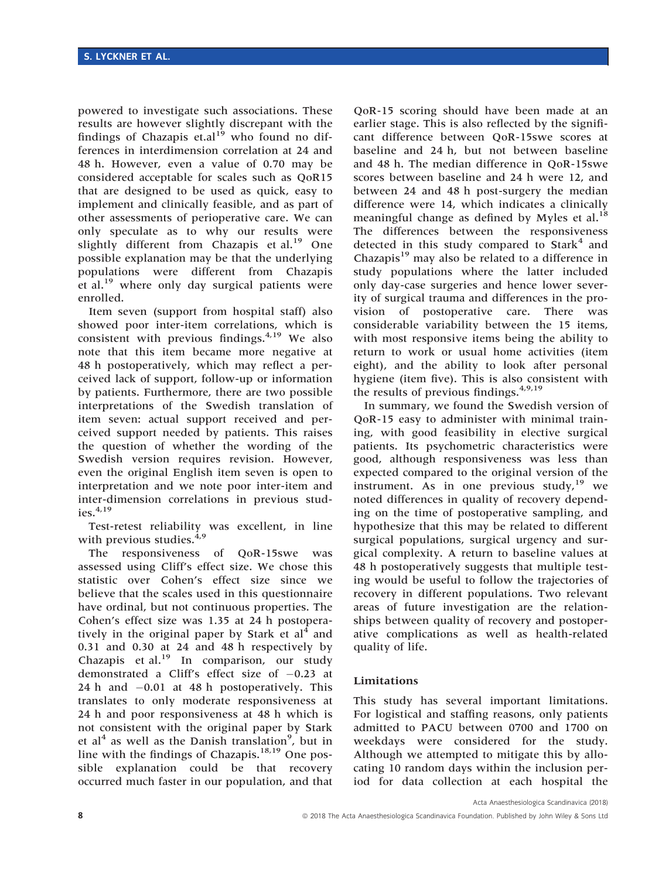powered to investigate such associations. These results are however slightly discrepant with the findings of Chazapis et.al<sup>19</sup> who found no differences in interdimension correlation at 24 and 48 h. However, even a value of 0.70 may be considered acceptable for scales such as QoR15 that are designed to be used as quick, easy to implement and clinically feasible, and as part of other assessments of perioperative care. We can only speculate as to why our results were slightly different from Chazapis et al.<sup>19</sup> One possible explanation may be that the underlying populations were different from Chazapis et al. $^{19}$  where only day surgical patients were enrolled.

Item seven (support from hospital staff) also showed poor inter-item correlations, which is consistent with previous findings. $4,19$  We also note that this item became more negative at 48 h postoperatively, which may reflect a perceived lack of support, follow-up or information by patients. Furthermore, there are two possible interpretations of the Swedish translation of item seven: actual support received and perceived support needed by patients. This raises the question of whether the wording of the Swedish version requires revision. However, even the original English item seven is open to interpretation and we note poor inter-item and inter-dimension correlations in previous studies. $4,19$ 

Test-retest reliability was excellent, in line with previous studies. $4,9$ 

The responsiveness of QoR-15swe was assessed using Cliff's effect size. We chose this statistic over Cohen's effect size since we believe that the scales used in this questionnaire have ordinal, but not continuous properties. The Cohen's effect size was 1.35 at 24 h postoperatively in the original paper by Stark et  $al<sup>4</sup>$  and 0.31 and 0.30 at 24 and 48 h respectively by Chazapis et al.<sup>19</sup> In comparison, our study demonstrated a Cliff's effect size of  $-0.23$  at 24 h and -0.01 at 48 h postoperatively. This translates to only moderate responsiveness at 24 h and poor responsiveness at 48 h which is not consistent with the original paper by Stark et al<sup>4</sup> as well as the Danish translation<sup>9</sup>, but in line with the findings of Chazapis. $18,19$  One possible explanation could be that recovery occurred much faster in our population, and that

QoR-15 scoring should have been made at an earlier stage. This is also reflected by the significant difference between QoR-15swe scores at baseline and 24 h, but not between baseline and 48 h. The median difference in QoR-15swe scores between baseline and 24 h were 12, and between 24 and 48 h post-surgery the median difference were 14, which indicates a clinically meaningful change as defined by Myles et al.<sup>18</sup> The differences between the responsiveness detected in this study compared to  $Stark<sup>4</sup>$  and Chazapis<sup>19</sup> may also be related to a difference in study populations where the latter included only day-case surgeries and hence lower severity of surgical trauma and differences in the provision of postoperative care. There was considerable variability between the 15 items, with most responsive items being the ability to return to work or usual home activities (item eight), and the ability to look after personal hygiene (item five). This is also consistent with the results of previous findings.  $4,9,19$ 

In summary, we found the Swedish version of QoR-15 easy to administer with minimal training, with good feasibility in elective surgical patients. Its psychometric characteristics were good, although responsiveness was less than expected compared to the original version of the instrument. As in one previous study,  $19$  we noted differences in quality of recovery depending on the time of postoperative sampling, and hypothesize that this may be related to different surgical populations, surgical urgency and surgical complexity. A return to baseline values at 48 h postoperatively suggests that multiple testing would be useful to follow the trajectories of recovery in different populations. Two relevant areas of future investigation are the relationships between quality of recovery and postoperative complications as well as health-related quality of life.

# Limitations

This study has several important limitations. For logistical and staffing reasons, only patients admitted to PACU between 0700 and 1700 on weekdays were considered for the study. Although we attempted to mitigate this by allocating 10 random days within the inclusion period for data collection at each hospital the

Acta Anaesthesiologica Scandinavica (2018)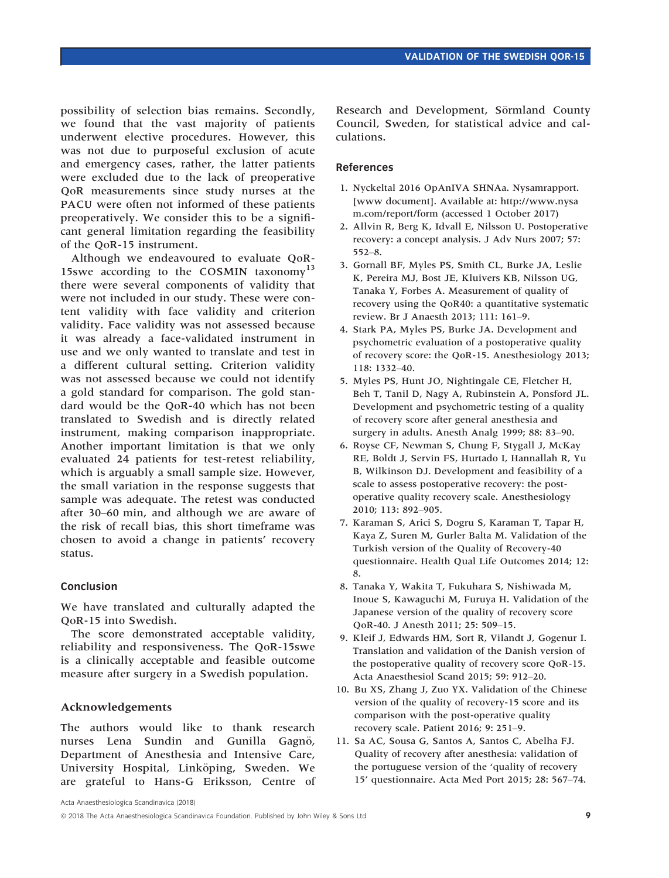possibility of selection bias remains. Secondly, we found that the vast majority of patients underwent elective procedures. However, this was not due to purposeful exclusion of acute and emergency cases, rather, the latter patients were excluded due to the lack of preoperative QoR measurements since study nurses at the PACU were often not informed of these patients preoperatively. We consider this to be a significant general limitation regarding the feasibility of the QoR-15 instrument.

Although we endeavoured to evaluate QoR-15swe according to the COSMIN taxonomy<sup>13</sup> there were several components of validity that were not included in our study. These were content validity with face validity and criterion validity. Face validity was not assessed because it was already a face-validated instrument in use and we only wanted to translate and test in a different cultural setting. Criterion validity was not assessed because we could not identify a gold standard for comparison. The gold standard would be the QoR-40 which has not been translated to Swedish and is directly related instrument, making comparison inappropriate. Another important limitation is that we only evaluated 24 patients for test-retest reliability, which is arguably a small sample size. However, the small variation in the response suggests that sample was adequate. The retest was conducted after 30–60 min, and although we are aware of the risk of recall bias, this short timeframe was chosen to avoid a change in patients' recovery status.

## Conclusion

We have translated and culturally adapted the QoR-15 into Swedish.

The score demonstrated acceptable validity, reliability and responsiveness. The QoR-15swe is a clinically acceptable and feasible outcome measure after surgery in a Swedish population.

## Acknowledgements

The authors would like to thank research nurses Lena Sundin and Gunilla Gagnö, Department of Anesthesia and Intensive Care, University Hospital, Linköping, Sweden. We are grateful to Hans-G Eriksson, Centre of

Research and Development, Sörmland County Council, Sweden, for statistical advice and calculations.

## References

- 1. Nyckeltal 2016 OpAnIVA SHNAa. Nysamrapport. [www document]. Available at: [http://www.nysa](http://www.nysam.com/report/form) [m.com/report/form](http://www.nysam.com/report/form) (accessed 1 October 2017)
- 2. Allvin R, Berg K, Idvall E, Nilsson U. Postoperative recovery: a concept analysis. J Adv Nurs 2007; 57: 552–8.
- 3. Gornall BF, Myles PS, Smith CL, Burke JA, Leslie K, Pereira MJ, Bost JE, Kluivers KB, Nilsson UG, Tanaka Y, Forbes A. Measurement of quality of recovery using the QoR40: a quantitative systematic review. Br J Anaesth 2013; 111: 161–9.
- 4. Stark PA, Myles PS, Burke JA. Development and psychometric evaluation of a postoperative quality of recovery score: the QoR-15. Anesthesiology 2013; 118: 1332–40.
- 5. Myles PS, Hunt JO, Nightingale CE, Fletcher H, Beh T, Tanil D, Nagy A, Rubinstein A, Ponsford JL. Development and psychometric testing of a quality of recovery score after general anesthesia and surgery in adults. Anesth Analg 1999; 88: 83–90.
- 6. Royse CF, Newman S, Chung F, Stygall J, McKay RE, Boldt J, Servin FS, Hurtado I, Hannallah R, Yu B, Wilkinson DJ. Development and feasibility of a scale to assess postoperative recovery: the postoperative quality recovery scale. Anesthesiology 2010; 113: 892–905.
- 7. Karaman S, Arici S, Dogru S, Karaman T, Tapar H, Kaya Z, Suren M, Gurler Balta M. Validation of the Turkish version of the Quality of Recovery-40 questionnaire. Health Qual Life Outcomes 2014; 12: 8.
- 8. Tanaka Y, Wakita T, Fukuhara S, Nishiwada M, Inoue S, Kawaguchi M, Furuya H. Validation of the Japanese version of the quality of recovery score QoR-40. J Anesth 2011; 25: 509–15.
- 9. Kleif J, Edwards HM, Sort R, Vilandt J, Gogenur I. Translation and validation of the Danish version of the postoperative quality of recovery score QoR-15. Acta Anaesthesiol Scand 2015; 59: 912–20.
- 10. Bu XS, Zhang J, Zuo YX. Validation of the Chinese version of the quality of recovery-15 score and its comparison with the post-operative quality recovery scale. Patient 2016; 9: 251–9.
- 11. Sa AC, Sousa G, Santos A, Santos C, Abelha FJ. Quality of recovery after anesthesia: validation of the portuguese version of the 'quality of recovery 15' questionnaire. Acta Med Port 2015; 28: 567–74.

Acta Anaesthesiologica Scandinavica (2018)

<sup>&</sup>lt;sup>©</sup> 2018 The Acta Anaesthesiologica Scandinavica Foundation. Published by John Wiley & Sons Ltd 9 **9**